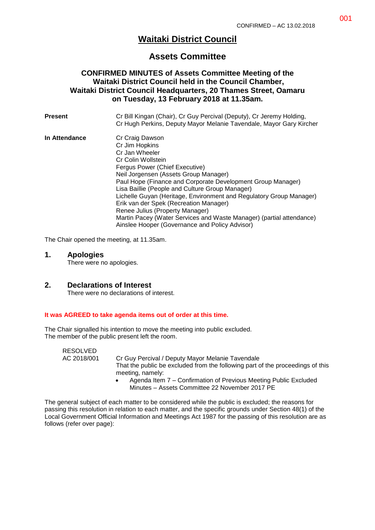# **Waitaki District Council**

## **Assets Committee**

## **CONFIRMED MINUTES of Assets Committee Meeting of the Waitaki District Council held in the Council Chamber, Waitaki District Council Headquarters, 20 Thames Street, Oamaru on Tuesday, 13 February 2018 at 11.35am.**

**Present** Cr Bill Kingan (Chair), Cr Guy Percival (Deputy), Cr Jeremy Holding, Cr Hugh Perkins, Deputy Mayor Melanie Tavendale, Mayor Gary Kircher **In Attendance Cr Craig Dawson** Cr Jim Hopkins Cr Jan Wheeler Cr Colin Wollstein Fergus Power (Chief Executive) Neil Jorgensen (Assets Group Manager) Paul Hope (Finance and Corporate Development Group Manager) Lisa Baillie (People and Culture Group Manager) Lichelle Guyan (Heritage, Environment and Regulatory Group Manager) Erik van der Spek (Recreation Manager) Renee Julius (Property Manager) Martin Pacey (Water Services and Waste Manager) (partial attendance) Ainslee Hooper (Governance and Policy Advisor)

The Chair opened the meeting, at 11.35am.

#### **1. Apologies**

There were no apologies.

### **2. Declarations of Interest**

There were no declarations of interest.

#### **It was AGREED to take agenda items out of order at this time.**

The Chair signalled his intention to move the meeting into public excluded. The member of the public present left the room.

RESOLVED

AC 2018/001 Cr Guy Percival / Deputy Mayor Melanie Tavendale That the public be excluded from the following part of the proceedings of this meeting, namely:

> Agenda Item 7 – Confirmation of Previous Meeting Public Excluded Minutes – Assets Committee 22 November 2017 PE

The general subject of each matter to be considered while the public is excluded; the reasons for passing this resolution in relation to each matter, and the specific grounds under Section 48(1) of the Local Government Official Information and Meetings Act 1987 for the passing of this resolution are as follows (refer over page):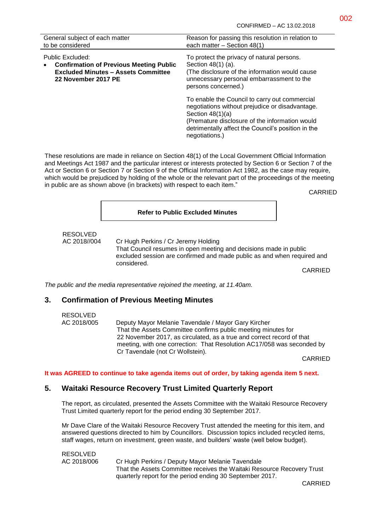| General subject of each matter<br>to be considered                                                                                      | Reason for passing this resolution in relation to<br>each matter - Section 48(1)                                                                                                                                                                 |
|-----------------------------------------------------------------------------------------------------------------------------------------|--------------------------------------------------------------------------------------------------------------------------------------------------------------------------------------------------------------------------------------------------|
| Public Excluded:<br><b>Confirmation of Previous Meeting Public</b><br><b>Excluded Minutes - Assets Committee</b><br>22 November 2017 PE | To protect the privacy of natural persons.<br>Section 48(1) (a).<br>(The disclosure of the information would cause)<br>unnecessary personal embarrassment to the<br>persons concerned.)                                                          |
|                                                                                                                                         | To enable the Council to carry out commercial<br>negotiations without prejudice or disadvantage.<br>Section $48(1)(a)$<br>(Premature disclosure of the information would<br>detrimentally affect the Council's position in the<br>negotiations.) |

These resolutions are made in reliance on Section 48(1) of the Local Government Official Information and Meetings Act 1987 and the particular interest or interests protected by Section 6 or Section 7 of the Act or Section 6 or Section 7 or Section 9 of the Official Information Act 1982, as the case may require, which would be prejudiced by holding of the whole or the relevant part of the proceedings of the meeting in public are as shown above (in brackets) with respect to each item."

CARRIED

#### **Refer to Public Excluded Minutes**

# RESOLVED

AC 2018//004 Cr Hugh Perkins / Cr Jeremy Holding That Council resumes in open meeting and decisions made in public excluded session are confirmed and made public as and when required and considered.

CARRIED

*The public and the media representative rejoined the meeting, at 11.40am.*

### **3. Confirmation of Previous Meeting Minutes**

| RESOLVED    |                                                                        |
|-------------|------------------------------------------------------------------------|
| AC 2018/005 | Deputy Mayor Melanie Tavendale / Mayor Gary Kircher                    |
|             | That the Assets Committee confirms public meeting minutes for          |
|             | 22 November 2017, as circulated, as a true and correct record of that  |
|             | meeting, with one correction: That Resolution AC17/058 was seconded by |
|             | Cr Tavendale (not Cr Wollstein).                                       |

CARRIED

#### **It was AGREED to continue to take agenda items out of order, by taking agenda item 5 next.**

### **5. Waitaki Resource Recovery Trust Limited Quarterly Report**

The report, as circulated, presented the Assets Committee with the Waitaki Resource Recovery Trust Limited quarterly report for the period ending 30 September 2017.

Mr Dave Clare of the Waitaki Resource Recovery Trust attended the meeting for this item, and answered questions directed to him by Councillors. Discussion topics included recycled items, staff wages, return on investment, green waste, and builders' waste (well below budget).

| <b>RESOLVED</b> |                                                                        |
|-----------------|------------------------------------------------------------------------|
| AC 2018/006     | Cr Hugh Perkins / Deputy Mayor Melanie Tavendale                       |
|                 | That the Assets Committee receives the Waitaki Resource Recovery Trust |
|                 | quarterly report for the period ending 30 September 2017.              |
|                 |                                                                        |

CARRIED